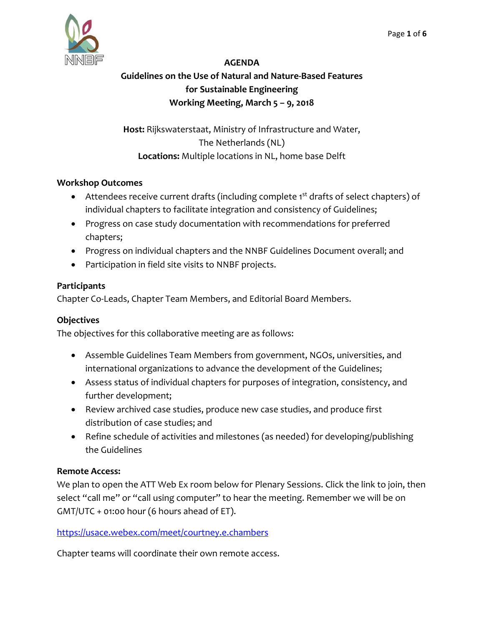

## **AGENDA**

## **Guidelines on the Use of Natural and Nature‐Based Features for Sustainable Engineering Working Meeting, March 5 – 9, 2018**

**Host:** Rijkswaterstaat, Ministry of Infrastructure and Water, The Netherlands (NL) **Locations:** Multiple locations in NL, home base Delft

### **Workshop Outcomes**

- Attendees receive current drafts (including complete 1<sup>st</sup> drafts of select chapters) of individual chapters to facilitate integration and consistency of Guidelines;
- Progress on case study documentation with recommendations for preferred chapters;
- Progress on individual chapters and the NNBF Guidelines Document overall; and
- Participation in field site visits to NNBF projects.

### **Participants**

Chapter Co‐Leads, Chapter Team Members, and Editorial Board Members.

### **Objectives**

The objectives for this collaborative meeting are as follows:

- Assemble Guidelines Team Members from government, NGOs, universities, and international organizations to advance the development of the Guidelines;
- Assess status of individual chapters for purposes of integration, consistency, and further development;
- Review archived case studies, produce new case studies, and produce first distribution of case studies; and
- Refine schedule of activities and milestones (as needed) for developing/publishing the Guidelines

### **Remote Access:**

We plan to open the ATT Web Ex room below for Plenary Sessions. Click the link to join, then select "call me" or "call using computer" to hear the meeting. Remember we will be on GMT/UTC + 01:00 hour (6 hours ahead of ET).

https://usace.webex.com/meet/courtney.e.chambers

Chapter teams will coordinate their own remote access.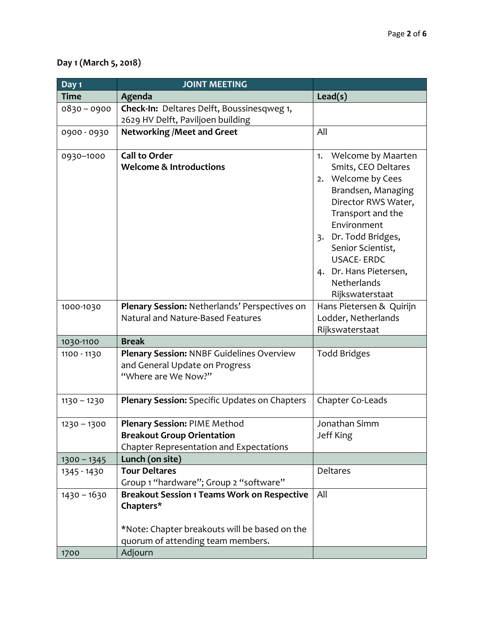## **Day 1 (March 5, 2018)**

| Day 1         | <b>JOINT MEETING</b>                                                                                                                                  |                                                                                                                                                                                                                                                                   |
|---------------|-------------------------------------------------------------------------------------------------------------------------------------------------------|-------------------------------------------------------------------------------------------------------------------------------------------------------------------------------------------------------------------------------------------------------------------|
| <b>Time</b>   | Agenda                                                                                                                                                | Lead(s)                                                                                                                                                                                                                                                           |
| $0830 - 0900$ | Check-In: Deltares Delft, Boussinesqweg 1,                                                                                                            |                                                                                                                                                                                                                                                                   |
|               | 2629 HV Delft, Paviljoen building                                                                                                                     |                                                                                                                                                                                                                                                                   |
| 0900 - 0930   | <b>Networking /Meet and Greet</b>                                                                                                                     | All                                                                                                                                                                                                                                                               |
| 0930-1000     | <b>Call to Order</b><br><b>Welcome &amp; Introductions</b>                                                                                            | Welcome by Maarten<br>1.<br>Smits, CEO Deltares<br>2. Welcome by Cees<br>Brandsen, Managing<br>Director RWS Water,<br>Transport and the<br>Environment<br>3. Dr. Todd Bridges,<br>Senior Scientist,<br><b>USACE-ERDC</b><br>4. Dr. Hans Pietersen,<br>Netherlands |
|               |                                                                                                                                                       | Rijkswaterstaat                                                                                                                                                                                                                                                   |
| 1000-1030     | Plenary Session: Netherlands' Perspectives on<br>Natural and Nature-Based Features                                                                    | Hans Pietersen & Quirijn<br>Lodder, Netherlands<br>Rijkswaterstaat                                                                                                                                                                                                |
| 1030-1100     | <b>Break</b>                                                                                                                                          |                                                                                                                                                                                                                                                                   |
| 1100 - 1130   | Plenary Session: NNBF Guidelines Overview<br>and General Update on Progress<br>"Where are We Now?"                                                    | <b>Todd Bridges</b>                                                                                                                                                                                                                                               |
| $1130 - 1230$ | Plenary Session: Specific Updates on Chapters                                                                                                         | Chapter Co-Leads                                                                                                                                                                                                                                                  |
| $1230 - 1300$ | <b>Plenary Session: PIME Method</b><br><b>Breakout Group Orientation</b><br>Chapter Representation and Expectations                                   | Jonathan Simm<br>Jeff King                                                                                                                                                                                                                                        |
| $1300 - 1345$ | Lunch (on site)                                                                                                                                       |                                                                                                                                                                                                                                                                   |
| 1345 - 1430   | <b>Tour Deltares</b><br>Group 1 "hardware"; Group 2 "software"                                                                                        | <b>Deltares</b>                                                                                                                                                                                                                                                   |
| $1430 - 1630$ | <b>Breakout Session 1 Teams Work on Respective</b><br>Chapters*<br>*Note: Chapter breakouts will be based on the<br>quorum of attending team members. | All                                                                                                                                                                                                                                                               |
| 1700          | Adjourn                                                                                                                                               |                                                                                                                                                                                                                                                                   |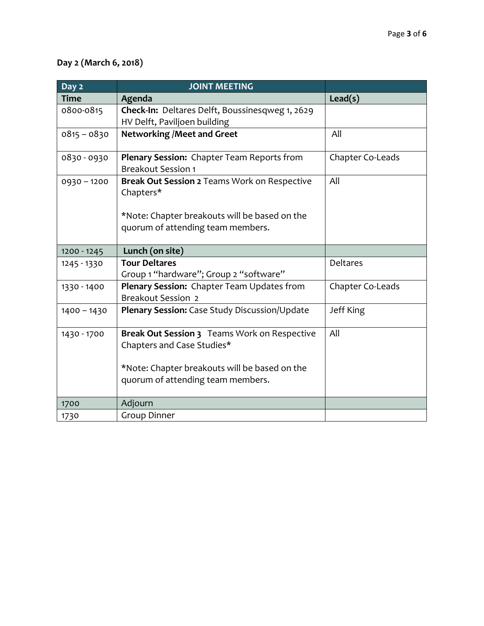# **Day 2 (March 6, 2018)**

| Day 2         | <b>JOINT MEETING</b>                                                                                                                                             |                  |
|---------------|------------------------------------------------------------------------------------------------------------------------------------------------------------------|------------------|
| <b>Time</b>   | Agenda                                                                                                                                                           | Lead(s)          |
| 0800-0815     | Check-In: Deltares Delft, Boussinesqweg 1, 2629<br>HV Delft, Paviljoen building                                                                                  |                  |
| $0815 - 0830$ | <b>Networking / Meet and Greet</b>                                                                                                                               | All              |
| 0830-0930     | Plenary Session: Chapter Team Reports from<br><b>Breakout Session 1</b>                                                                                          | Chapter Co-Leads |
| $0930 - 1200$ | Break Out Session 2 Teams Work on Respective<br>Chapters*<br>*Note: Chapter breakouts will be based on the<br>quorum of attending team members.                  | All              |
| 1200 - 1245   | Lunch (on site)                                                                                                                                                  |                  |
| 1245 - 1330   | <b>Tour Deltares</b><br>Group 1 "hardware"; Group 2 "software"                                                                                                   | <b>Deltares</b>  |
| 1330 - 1400   | Plenary Session: Chapter Team Updates from<br><b>Breakout Session 2</b>                                                                                          | Chapter Co-Leads |
| $1400 - 1430$ | Plenary Session: Case Study Discussion/Update                                                                                                                    | Jeff King        |
| 1430 - 1700   | Break Out Session 3 Teams Work on Respective<br>Chapters and Case Studies*<br>*Note: Chapter breakouts will be based on the<br>quorum of attending team members. | All              |
| 1700          | Adjourn                                                                                                                                                          |                  |
| 1730          | <b>Group Dinner</b>                                                                                                                                              |                  |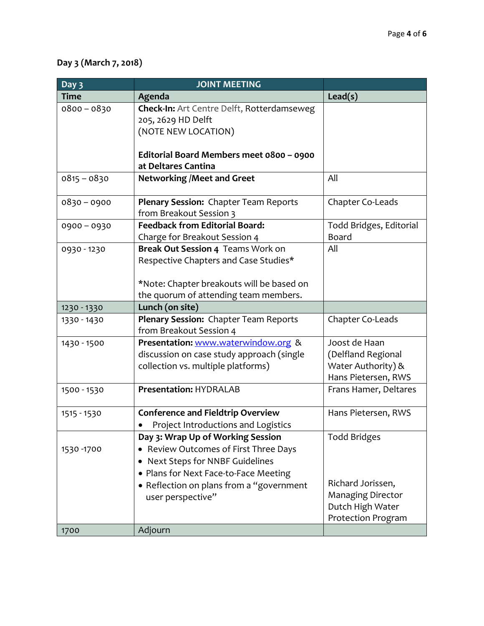# **Day 3 (March 7, 2018)**

| Day 3         | <b>JOINT MEETING</b>                       |                          |
|---------------|--------------------------------------------|--------------------------|
| <b>Time</b>   | Agenda                                     | Lead(s)                  |
| $0800 - 0830$ | Check-In: Art Centre Delft, Rotterdamseweg |                          |
|               | 205, 2629 HD Delft                         |                          |
|               | (NOTE NEW LOCATION)                        |                          |
|               |                                            |                          |
|               | Editorial Board Members meet 0800 - 0900   |                          |
|               | at Deltares Cantina                        |                          |
| $0815 - 0830$ | <b>Networking /Meet and Greet</b>          | All                      |
| $0830 - 0900$ | Plenary Session: Chapter Team Reports      | Chapter Co-Leads         |
|               | from Breakout Session 3                    |                          |
| 0900-0930     | <b>Feedback from Editorial Board:</b>      | Todd Bridges, Editorial  |
|               | Charge for Breakout Session 4              | Board                    |
| 0930 - 1230   | Break Out Session 4 Teams Work on          | All                      |
|               | Respective Chapters and Case Studies*      |                          |
|               |                                            |                          |
|               | *Note: Chapter breakouts will be based on  |                          |
|               | the quorum of attending team members.      |                          |
| 1230 - 1330   | Lunch (on site)                            |                          |
| 1330 - 1430   | Plenary Session: Chapter Team Reports      | Chapter Co-Leads         |
|               | from Breakout Session 4                    |                          |
| 1430 - 1500   | Presentation: www.waterwindow.org &        | Joost de Haan            |
|               | discussion on case study approach (single  | (Delfland Regional       |
|               | collection vs. multiple platforms)         | Water Authority) &       |
|               | <b>Presentation: HYDRALAB</b>              | Hans Pietersen, RWS      |
| 1500 - 1530   |                                            | Frans Hamer, Deltares    |
| 1515 - 1530   | <b>Conference and Fieldtrip Overview</b>   | Hans Pietersen, RWS      |
|               | Project Introductions and Logistics        |                          |
|               | Day 3: Wrap Up of Working Session          | <b>Todd Bridges</b>      |
| 1530 - 1700   | • Review Outcomes of First Three Days      |                          |
|               | Next Steps for NNBF Guidelines             |                          |
|               | • Plans for Next Face-to-Face Meeting      |                          |
|               | • Reflection on plans from a "government   | Richard Jorissen,        |
|               | user perspective"                          | <b>Managing Director</b> |
|               |                                            | Dutch High Water         |
|               |                                            | Protection Program       |
| 1700          | Adjourn                                    |                          |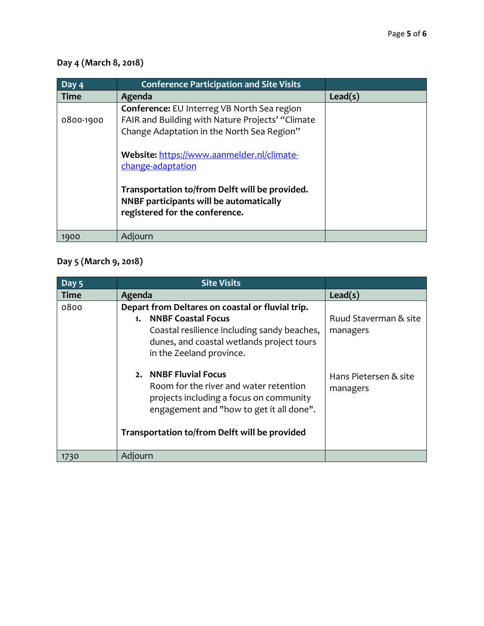# **Day 4 (March 8, 2018)**

| Day $\overline{4}$ | <b>Conference Participation and Site Visits</b>                                                                                                                                                                                                                                                                                                 |         |
|--------------------|-------------------------------------------------------------------------------------------------------------------------------------------------------------------------------------------------------------------------------------------------------------------------------------------------------------------------------------------------|---------|
| <b>Time</b>        | Agenda                                                                                                                                                                                                                                                                                                                                          | Lead(s) |
| 0800-1900          | Conference: EU Interreg VB North Sea region<br>FAIR and Building with Nature Projects' "Climate<br>Change Adaptation in the North Sea Region"<br>Website: https://www.aanmelder.nl/climate-<br>change-adaptation<br>Transportation to/from Delft will be provided.<br>NNBF participants will be automatically<br>registered for the conference. |         |
| 1900               | Adjourn                                                                                                                                                                                                                                                                                                                                         |         |

# **Day 5 (March 9, 2018)**

| Day 5       | <b>Site Visits</b>                                                                                                                                                                                          |                                   |
|-------------|-------------------------------------------------------------------------------------------------------------------------------------------------------------------------------------------------------------|-----------------------------------|
| <b>Time</b> | Agenda                                                                                                                                                                                                      | Lead(s)                           |
| 0800        | Depart from Deltares on coastal or fluvial trip.<br><b>NNBF Coastal Focus</b><br>1.<br>Coastal resilience including sandy beaches,<br>dunes, and coastal wetlands project tours<br>in the Zeeland province. | Ruud Staverman & site<br>managers |
|             | 2. NNBF Fluvial Focus<br>Room for the river and water retention<br>projects including a focus on community<br>engagement and "how to get it all done".<br>Transportation to/from Delft will be provided     | Hans Pietersen & site<br>managers |
| 1730        | Adjourn                                                                                                                                                                                                     |                                   |